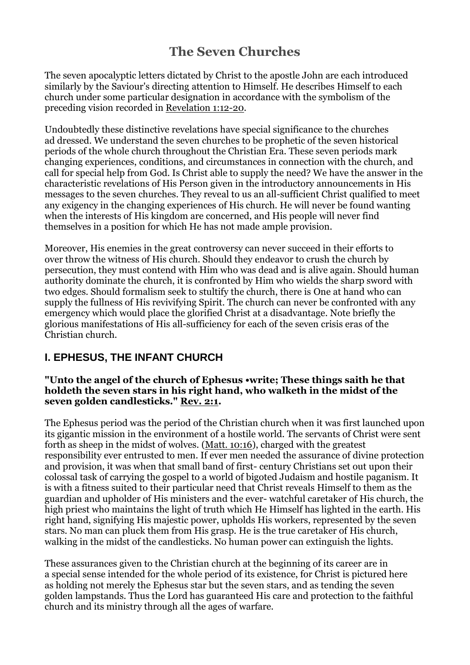# **The Seven Churches**

The seven apocalyptic letters dictated by Christ to the apostle John are each introduced similarly by the Saviour's directing attention to Himself. He describes Himself to each church under some particular designation in accordance with the symbolism of the preceding vision recorded in [Revelation](https://biblia.com/bible/esv/Rev%201.12-20) 1:12-20.

Undoubtedly these distinctive revelations have special significance to the churches ad dressed. We understand the seven churches to be prophetic of the seven historical periods of the whole church throughout the Christian Era. These seven periods mark changing experiences, conditions, and circumstances in connection with the church, and call for special help from God. Is Christ able to supply the need? We have the answer in the characteristic revelations of His Person given in the introductory announcements in His messages to the seven churches. They reveal to us an all-sufficient Christ qualified to meet any exigency in the changing experiences of His church. He will never be found wanting when the interests of His kingdom are concerned, and His people will never find themselves in a position for which He has not made ample provision.

Moreover, His enemies in the great controversy can never succeed in their efforts to over throw the witness of His church. Should they endeavor to crush the church by persecution, they must contend with Him who was dead and is alive again. Should human authority dominate the church, it is confronted by Him who wields the sharp sword with two edges. Should formalism seek to stultify the church, there is One at hand who can supply the fullness of His revivifying Spirit. The church can never be confronted with any emergency which would place the glorified Christ at a disadvantage. Note briefly the glorious manifestations of His all-sufficiency for each of the seven crisis eras of the Christian church.

### **I. EPHESUS, THE INFANT CHURCH**

#### **"Unto the angel of the church of Ephesus •write; These things saith he that holdeth the seven stars in his right hand, who walketh in the midst of the seven golden candlesticks." [Rev.](https://biblia.com/bible/esv/Rev.%202.1) 2:1.**

The Ephesus period was the period of the Christian church when it was first launched upon its gigantic mission in the environment of a hostile world. The servants of Christ were sent forth as sheep in the midst of wolves. (Matt. [10:16\)](https://biblia.com/bible/esv/Matt.%2010.16), charged with the greatest responsibility ever entrusted to men. If ever men needed the assurance of divine protection and provision, it was when that small band of first- century Christians set out upon their colossal task of carrying the gospel to a world of bigoted Judaism and hostile paganism. It is with a fitness suited to their particular need that Christ reveals Himself to them as the guardian and upholder of His ministers and the ever- watchful caretaker of His church, the high priest who maintains the light of truth which He Himself has lighted in the earth. His right hand, signifying His majestic power, upholds His workers, represented by the seven stars. No man can pluck them from His grasp. He is the true caretaker of His church, walking in the midst of the candlesticks. No human power can extinguish the lights.

These assurances given to the Christian church at the beginning of its career are in a special sense intended for the whole period of its existence, for Christ is pictured here as holding not merely the Ephesus star but the seven stars, and as tending the seven golden lampstands. Thus the Lord has guaranteed His care and protection to the faithful church and its ministry through all the ages of warfare.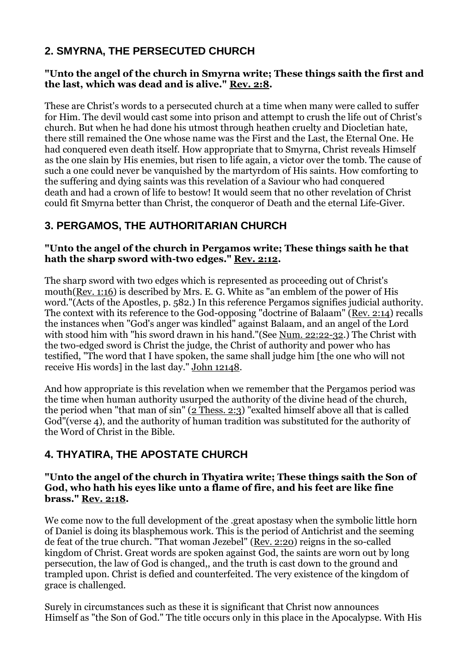## **2. SMYRNA, THE PERSECUTED CHURCH**

#### **"Unto the angel of the church in Smyrna write; These things saith the first and the last, which was dead and is alive." [Rev.](https://biblia.com/bible/esv/Rev.%202.8) 2:8.**

These are Christ's words to a persecuted church at a time when many were called to suffer for Him. The devil would cast some into prison and attempt to crush the life out of Christ's church. But when he had done his utmost through heathen cruelty and Diocletian hate, there still remained the One whose name was the First and the Last, the Eternal One. He had conquered even death itself. How appropriate that to Smyrna, Christ reveals Himself as the one slain by His enemies, but risen to life again, a victor over the tomb. The cause of such a one could never be vanquished by the martyrdom of His saints. How comforting to the suffering and dying saints was this revelation of a Saviour who had conquered death and had a crown of life to bestow! It would seem that no other revelation of Christ could fit Smyrna better than Christ, the conqueror of Death and the eternal Life-Giver.

### **3. PERGAMOS, THE AUTHORITARIAN CHURCH**

#### **"Unto the angel of the church in Pergamos write; These things saith he that hath the sharp sword with-two edges." Rev. [2:12.](https://biblia.com/bible/esv/Rev.%202.12)**

The sharp sword with two edges which is represented as proceeding out of Christ's mouth[\(Rev.](https://biblia.com/bible/esv/Rev.%201.16) 1:16) is described by Mrs. E. G. White as "an emblem of the power of His word."(Acts of the Apostles, p. 582.) In this reference Pergamos signifies judicial authority. The context with its reference to the God-opposing "doctrine of Balaam" [\(Rev.](https://biblia.com/bible/esv/Rev.%202.14) 2:14) recalls the instances when "God's anger was kindled" against Balaam, and an angel of the Lord with stood him with "his sword drawn in his hand."(See Num. [22:22-32.](https://biblia.com/bible/esv/Num.%2022.22-32)) The Christ with the two-edged sword is Christ the judge, the Christ of authority and power who has testified, "The word that I have spoken, the same shall judge him [the one who will not receive His words] in the last day." [John](https://biblia.com/bible/esv/John%20121) 12[148.](https://biblia.com/bible/esv/John%20121)

And how appropriate is this revelation when we remember that the Pergamos period was the time when human authority usurped the authority of the divine head of the church, the period when "that man of sin" (2 [Thess.](https://biblia.com/bible/esv/2%20Thess.%202.3) 2:3) "exalted himself above all that is called God"(verse 4), and the authority of human tradition was substituted for the authority of the Word of Christ in the Bible.

### **4. THYATIRA, THE APOSTATE CHURCH**

#### **"Unto the angel of the church in Thyatira write; These things saith the Son of God, who hath his eyes like unto a flame of fire, and his feet are like fine brass." Rev. [2:18.](https://biblia.com/bible/esv/Rev.%202.18)**

We come now to the full development of the .great apostasy when the symbolic little horn of Daniel is doing its blasphemous work. This is the period of Antichrist and the seeming de feat of the true church. "That woman Jezebel" (Rev. [2:20\)](https://biblia.com/bible/esv/Rev.%202.20) reigns in the so-called kingdom of Christ. Great words are spoken against God, the saints are worn out by long persecution, the law of God is changed,, and the truth is cast down to the ground and trampled upon. Christ is defied and counterfeited. The very existence of the kingdom of grace is challenged.

Surely in circumstances such as these it is significant that Christ now announces Himself as "the Son of God." The title occurs only in this place in the Apocalypse. With His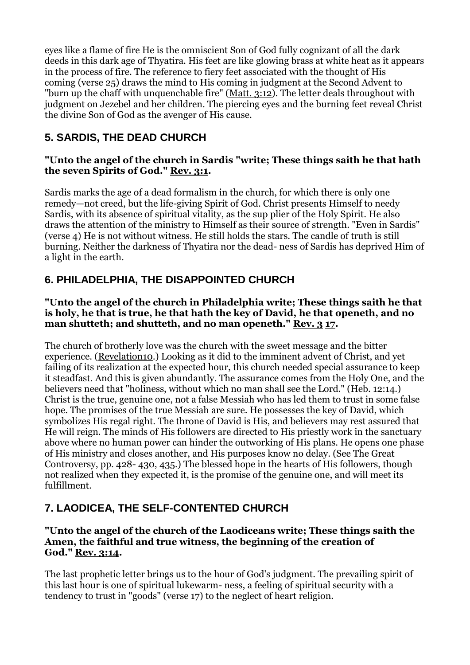eyes like a flame of fire He is the omniscient Son of God fully cognizant of all the dark deeds in this dark age of Thyatira. His feet are like glowing brass at white heat as it appears in the process of fire. The reference to fiery feet associated with the thought of His coming (verse 25) draws the mind to His coming in judgment at the Second Advent to "burn up the chaff with unquenchable fire" [\(Matt.](https://biblia.com/bible/esv/Matt.%203.12) 3:12). The letter deals throughout with judgment on Jezebel and her children. The piercing eyes and the burning feet reveal Christ the divine Son of God as the avenger of His cause.

# **5. SARDIS, THE DEAD CHURCH**

#### **"Unto the angel of the church in Sardis "write; These things saith he that hath the seven Spirits of God." [Rev.](https://biblia.com/bible/esv/Rev.%203.1) 3:1.**

Sardis marks the age of a dead formalism in the church, for which there is only one remedy—not creed, but the life-giving Spirit of God. Christ presents Himself to needy Sardis, with its absence of spiritual vitality, as the sup plier of the Holy Spirit. He also draws the attention of the ministry to Himself as their source of strength. "Even in Sardis" (verse 4) He is not without witness. He still holds the stars. The candle of truth is still burning. Neither the darkness of Thyatira nor the dead- ness of Sardis has deprived Him of a light in the earth.

## **6. PHILADELPHIA, THE DISAPPOINTED CHURCH**

#### **"Unto the angel of the church in Philadelphia write; These things saith he that is holy, he that is true, he that hath the key of David, he that openeth, and no man shutteth; and shutteth, and no man openeth." [Rev.](https://biblia.com/bible/esv/Rev.%203) 3 [17.](https://biblia.com/bible/esv/Rev%203.17)**

The church of brotherly love was the church with the sweet message and the bitter experience. [\(Revelation10.](https://biblia.com/bible/esv/Rev10)) Looking as it did to the imminent advent of Christ, and yet failing of its realization at the expected hour, this church needed special assurance to keep it steadfast. And this is given abundantly. The assurance comes from the Holy One, and the believers need that "holiness, without which no man shall see the Lord." (Heb. [12:14.](https://biblia.com/bible/esv/Heb.%2012.14)) Christ is the true, genuine one, not a false Messiah who has led them to trust in some false hope. The promises of the true Messiah are sure. He possesses the key of David, which symbolizes His regal right. The throne of David is His, and believers may rest assured that He will reign. The minds of His followers are directed to His priestly work in the sanctuary above where no human power can hinder the outworking of His plans. He opens one phase of His ministry and closes another, and His purposes know no delay. (See The Great Controversy, pp. 428- 430, 435.) The blessed hope in the hearts of His followers, though not realized when they expected it, is the promise of the genuine one, and will meet its fulfillment.

# **7. LAODICEA, THE SELF-CONTENTED CHURCH**

#### **"Unto the angel of the church of the Laodiceans write; These things saith the Amen, the faithful and true witness, the beginning of the creation of God." Rev. [3:14.](https://biblia.com/bible/esv/Rev.%203.14)**

The last prophetic letter brings us to the hour of God's judgment. The prevailing spirit of this last hour is one of spiritual lukewarm- ness, a feeling of spiritual security with a tendency to trust in "goods" (verse 17) to the neglect of heart religion.